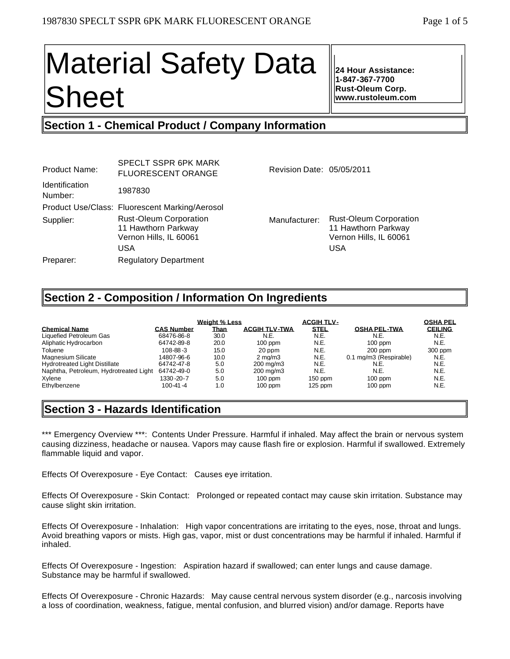# Material Safety Data Sheet

**24 Hour Assistance: 1-847-367-7700 Rust-Oleum Corp. www.rustoleum.com**

## **Section 1 - Chemical Product / Company Information**

| <b>Product Name:</b>             | <b>SPECLT SSPR 6PK MARK</b><br><b>FLUORESCENT ORANGE</b>                              | Revision Date: 05/05/2011 |                                                                                              |
|----------------------------------|---------------------------------------------------------------------------------------|---------------------------|----------------------------------------------------------------------------------------------|
| <b>Identification</b><br>Number: | 1987830                                                                               |                           |                                                                                              |
|                                  | Product Use/Class: Fluorescent Marking/Aerosol                                        |                           |                                                                                              |
| Supplier:                        | <b>Rust-Oleum Corporation</b><br>11 Hawthorn Parkway<br>Vernon Hills, IL 60061<br>USA | Manufacturer:             | <b>Rust-Oleum Corporation</b><br>11 Hawthorn Parkway<br>Vernon Hills, IL 60061<br><b>USA</b> |
| Preparer:                        | <b>Regulatory Department</b>                                                          |                           |                                                                                              |
|                                  |                                                                                       |                           |                                                                                              |

## **Section 2 - Composition / Information On Ingredients**

|                                        |                   | <b>Weight % Less</b> |                      | <b>ACGIH TLV-</b> |                        | <b>OSHA PEL</b> |
|----------------------------------------|-------------------|----------------------|----------------------|-------------------|------------------------|-----------------|
| <b>Chemical Name</b>                   | <b>CAS Number</b> | <u>Than</u>          | <b>ACGIH TLV-TWA</b> | <b>STEL</b>       | <b>OSHA PEL-TWA</b>    | <b>CEILING</b>  |
| Liquefied Petroleum Gas                | 68476-86-8        | 30.0                 | N.E.                 | N.E.              | N.E.                   | N.E.            |
| Aliphatic Hydrocarbon                  | 64742-89-8        | 20.0                 | $100$ ppm            | N.E.              | $100$ ppm              | N.E.            |
| Toluene                                | $108 - 88 - 3$    | 15.0                 | 20 ppm               | N.E.              | $200$ ppm              | 300 ppm         |
| Magnesium Silicate                     | 14807-96-6        | 10.0                 | $2 \text{ ma/m}$ 3   | N.E.              | 0.1 mg/m3 (Respirable) | N.E.            |
| <b>Hydrotreated Light Distillate</b>   | 64742-47-8        | 5.0                  | $200 \text{ ma/m}$ 3 | N.E.              | N.E.                   | N.E.            |
| Naphtha, Petroleum, Hydrotreated Light | 64742-49-0        | 5.0                  | 200 mg/m3            | N.E.              | N.E.                   | N.E.            |
| Xvlene                                 | 1330-20-7         | 5.0                  | $100$ ppm            | $150$ ppm         | $100$ ppm              | N.E.            |
| Ethylbenzene                           | 100-41-4          | 1.0                  | $100$ ppm            | $125$ ppm         | $100$ ppm              | N.E.            |

## **Section 3 - Hazards Identification**

\*\*\* Emergency Overview \*\*\*: Contents Under Pressure. Harmful if inhaled. May affect the brain or nervous system causing dizziness, headache or nausea. Vapors may cause flash fire or explosion. Harmful if swallowed. Extremely flammable liquid and vapor.

Effects Of Overexposure - Eye Contact: Causes eye irritation.

Effects Of Overexposure - Skin Contact: Prolonged or repeated contact may cause skin irritation. Substance may cause slight skin irritation.

Effects Of Overexposure - Inhalation: High vapor concentrations are irritating to the eyes, nose, throat and lungs. Avoid breathing vapors or mists. High gas, vapor, mist or dust concentrations may be harmful if inhaled. Harmful if inhaled.

Effects Of Overexposure - Ingestion: Aspiration hazard if swallowed; can enter lungs and cause damage. Substance may be harmful if swallowed.

Effects Of Overexposure - Chronic Hazards: May cause central nervous system disorder (e.g., narcosis involving a loss of coordination, weakness, fatigue, mental confusion, and blurred vision) and/or damage. Reports have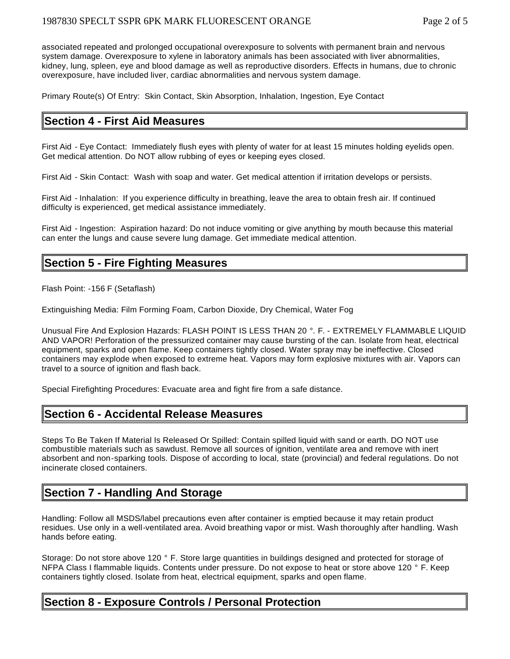associated repeated and prolonged occupational overexposure to solvents with permanent brain and nervous system damage. Overexposure to xylene in laboratory animals has been associated with liver abnormalities, kidney, lung, spleen, eye and blood damage as well as reproductive disorders. Effects in humans, due to chronic overexposure, have included liver, cardiac abnormalities and nervous system damage.

Primary Route(s) Of Entry: Skin Contact, Skin Absorption, Inhalation, Ingestion, Eye Contact

## **Section 4 - First Aid Measures**

First Aid - Eye Contact: Immediately flush eyes with plenty of water for at least 15 minutes holding eyelids open. Get medical attention. Do NOT allow rubbing of eyes or keeping eyes closed.

First Aid - Skin Contact: Wash with soap and water. Get medical attention if irritation develops or persists.

First Aid - Inhalation: If you experience difficulty in breathing, leave the area to obtain fresh air. If continued difficulty is experienced, get medical assistance immediately.

First Aid - Ingestion: Aspiration hazard: Do not induce vomiting or give anything by mouth because this material can enter the lungs and cause severe lung damage. Get immediate medical attention.

## **Section 5 - Fire Fighting Measures**

Flash Point: -156 F (Setaflash)

Extinguishing Media: Film Forming Foam, Carbon Dioxide, Dry Chemical, Water Fog

Unusual Fire And Explosion Hazards: FLASH POINT IS LESS THAN 20 °. F. - EXTREMELY FLAMMABLE LIQUID AND VAPOR! Perforation of the pressurized container may cause bursting of the can. Isolate from heat, electrical equipment, sparks and open flame. Keep containers tightly closed. Water spray may be ineffective. Closed containers may explode when exposed to extreme heat. Vapors may form explosive mixtures with air. Vapors can travel to a source of ignition and flash back.

Special Firefighting Procedures: Evacuate area and fight fire from a safe distance.

## **Section 6 - Accidental Release Measures**

Steps To Be Taken If Material Is Released Or Spilled: Contain spilled liquid with sand or earth. DO NOT use combustible materials such as sawdust. Remove all sources of ignition, ventilate area and remove with inert absorbent and non-sparking tools. Dispose of according to local, state (provincial) and federal regulations. Do not incinerate closed containers.

## **Section 7 - Handling And Storage**

Handling: Follow all MSDS/label precautions even after container is emptied because it may retain product residues. Use only in a well-ventilated area. Avoid breathing vapor or mist. Wash thoroughly after handling. Wash hands before eating.

Storage: Do not store above 120 ° F. Store large quantities in buildings designed and protected for storage of NFPA Class I flammable liquids. Contents under pressure. Do not expose to heat or store above 120 ° F. Keep containers tightly closed. Isolate from heat, electrical equipment, sparks and open flame.

## **Section 8 - Exposure Controls / Personal Protection**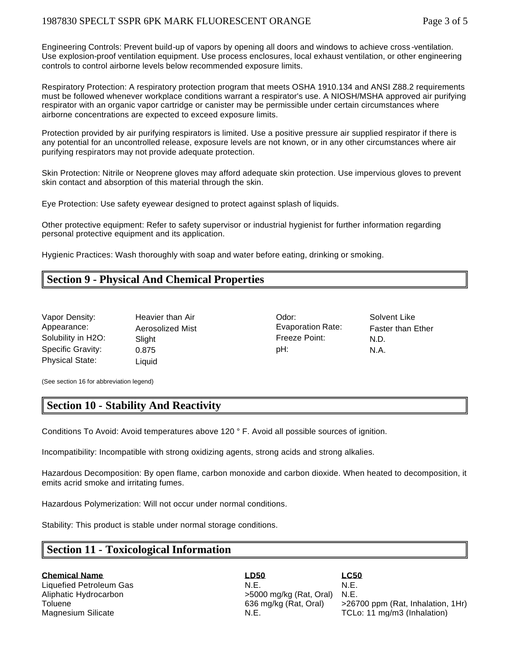Engineering Controls: Prevent build-up of vapors by opening all doors and windows to achieve cross -ventilation. Use explosion-proof ventilation equipment. Use process enclosures, local exhaust ventilation, or other engineering controls to control airborne levels below recommended exposure limits.

Respiratory Protection: A respiratory protection program that meets OSHA 1910.134 and ANSI Z88.2 requirements must be followed whenever workplace conditions warrant a respirator's use. A NIOSH/MSHA approved air purifying respirator with an organic vapor cartridge or canister may be permissible under certain circumstances where airborne concentrations are expected to exceed exposure limits.

Protection provided by air purifying respirators is limited. Use a positive pressure air supplied respirator if there is any potential for an uncontrolled release, exposure levels are not known, or in any other circumstances where air purifying respirators may not provide adequate protection.

Skin Protection: Nitrile or Neoprene gloves may afford adequate skin protection. Use impervious gloves to prevent skin contact and absorption of this material through the skin.

Eye Protection: Use safety eyewear designed to protect against splash of liquids.

Other protective equipment: Refer to safety supervisor or industrial hygienist for further information regarding personal protective equipment and its application.

Hygienic Practices: Wash thoroughly with soap and water before eating, drinking or smoking.

## **Section 9 - Physical And Chemical Properties**

| Vapor Density:         | Heavier than Air | Odor:                    | Solv |
|------------------------|------------------|--------------------------|------|
| Appearance:            | Aerosolized Mist | <b>Evaporation Rate:</b> | Fast |
| Solubility in H2O:     | Slight           | Freeze Point:            | N.D. |
| Specific Gravity:      | 0.875            | pH:                      | N.A. |
| <b>Physical State:</b> | Liauid           |                          |      |

Odor: Solvent Like Appearance: Aerosolized Mist Evaporation Rate: Faster than Ether Freeze Point: N.D.

(See section 16 for abbreviation legend)

## **Section 10 - Stability And Reactivity**

Conditions To Avoid: Avoid temperatures above 120 ° F. Avoid all possible sources of ignition.

Incompatibility: Incompatible with strong oxidizing agents, strong acids and strong alkalies.

Hazardous Decomposition: By open flame, carbon monoxide and carbon dioxide. When heated to decomposition, it emits acrid smoke and irritating fumes.

Hazardous Polymerization: Will not occur under normal conditions.

Stability: This product is stable under normal storage conditions.

#### **Section 11 - Toxicological Information**

**Chemical Name LD50 LC50** Liquefied Petroleum Gas<br>Aliphatic Hydrocarbon **N.E.** S000 mg/kg (Rat, Oral) N.E.  $>5000$  mg/kg (Rat, Oral) N.E.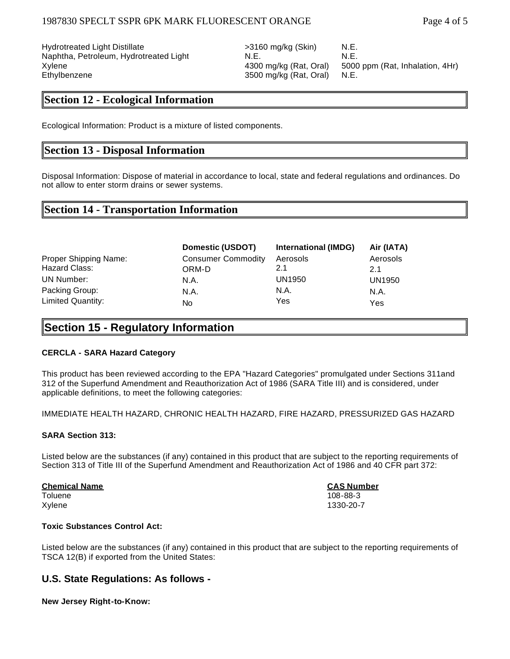Hydrotreated Light Distillate  $>3160$  mg/kg (Skin) N.E. Naphtha, Petroleum, Hydrotreated Light N.E. N.E. N.E. Ethylbenzene 3500 mg/kg (Rat, Oral) N.E.

**Section 12 - Ecological Information**

Ecological Information: Product is a mixture of listed components.

## **Section 13 - Disposal Information**

Disposal Information: Dispose of material in accordance to local, state and federal regulations and ordinances. Do not allow to enter storm drains or sewer systems.

## **Section 14 - Transportation Information**

|                       | Domestic (USDOT)          | <b>International (IMDG)</b> | Air (IATA) |
|-----------------------|---------------------------|-----------------------------|------------|
| Proper Shipping Name: | <b>Consumer Commodity</b> | Aerosols                    | Aerosols   |
| Hazard Class:         | ORM-D                     | 2.1                         | 2.1        |
| UN Number:            | N.A.                      | UN1950                      | UN1950     |
| Packing Group:        | N.A.                      | N.A.                        | N.A.       |
| Limited Quantity:     | No                        | Yes                         | Yes        |

## **Section 15 - Regulatory Information**

#### **CERCLA - SARA Hazard Category**

This product has been reviewed according to the EPA "Hazard Categories" promulgated under Sections 311and 312 of the Superfund Amendment and Reauthorization Act of 1986 (SARA Title III) and is considered, under applicable definitions, to meet the following categories:

IMMEDIATE HEALTH HAZARD, CHRONIC HEALTH HAZARD, FIRE HAZARD, PRESSURIZED GAS HAZARD

#### **SARA Section 313:**

Listed below are the substances (if any) contained in this product that are subject to the reporting requirements of Section 313 of Title III of the Superfund Amendment and Reauthorization Act of 1986 and 40 CFR part 372:

**Chemical Name CAS Number** Toluene 108-88-3

Xylene 1330-20-7

#### **Toxic Substances Control Act:**

Listed below are the substances (if any) contained in this product that are subject to the reporting requirements of TSCA 12(B) if exported from the United States:

#### **U.S. State Regulations: As follows -**

#### **New Jersey Right-to-Know:**